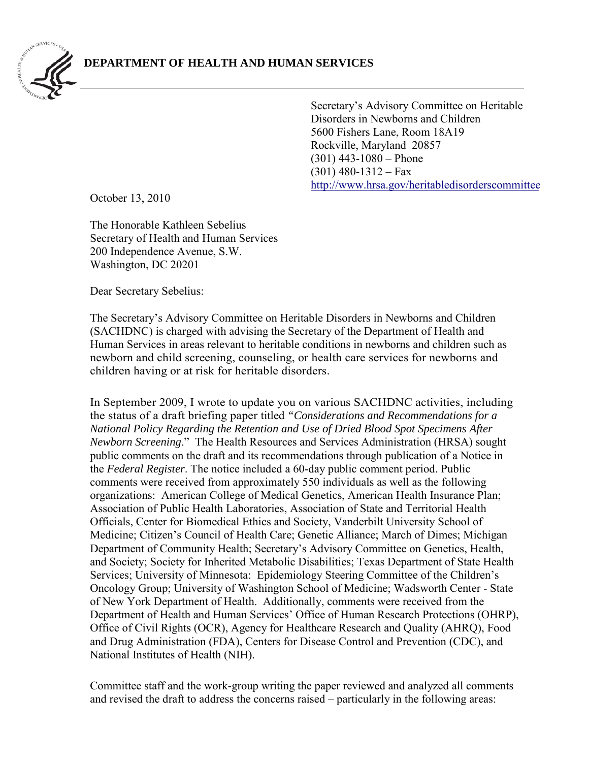

Secretary's Advisory Committee on Heritable Disorders in Newborns and Children 5600 Fishers Lane, Room 18A19 Rockville, Maryland 20857 (301) 443-1080 – Phone  $(301)$  480-1312 – Fax [http://www.hrsa.gov/heritabledisorderscomm](http://www.hrsa.gov/heritabledisorderscommittee)ittee

October 13, 2010

The Honorable Kathleen Sebelius Secretary of Health and Human Services 200 Independence Avenue, S.W. Washington, DC 20201

Dear Secretary Sebelius:

The Secretary's Advisory Committee on Heritable Disorders in Newborns and Children (SACHDNC) is charged with advising the Secretary of the Department of Health and Human Services in areas relevant to heritable conditions in newborns and children such as newborn and child screening, counseling, or health care services for newborns and children having or at risk for heritable disorders.

In September 2009, I wrote to update you on various SACHDNC activities, including the status of a draft briefing paper titled *"Considerations and Recommendations for a National Policy Regarding the Retention and Use of Dried Blood Spot Specimens After Newborn Screening*." The Health Resources and Services Administration (HRSA) sought public comments on the draft and its recommendations through publication of a Notice in the *Federal Register*. The notice included a 60-day public comment period. Public comments were received from approximately 550 individuals as well as the following organizations: American College of Medical Genetics, American Health Insurance Plan; Association of Public Health Laboratories, Association of State and Territorial Health Officials, Center for Biomedical Ethics and Society, Vanderbilt University School of Medicine; Citizen's Council of Health Care; Genetic Alliance; March of Dimes; Michigan Department of Community Health; Secretary's Advisory Committee on Genetics, Health, and Society; Society for Inherited Metabolic Disabilities; Texas Department of State Health Services; University of Minnesota: Epidemiology Steering Committee of the Children's Oncology Group; University of Washington School of Medicine; Wadsworth Center - State of New York Department of Health. Additionally, comments were received from the Department of Health and Human Services' Office of Human Research Protections (OHRP), Office of Civil Rights (OCR), Agency for Healthcare Research and Quality (AHRQ), Food and Drug Administration (FDA), Centers for Disease Control and Prevention (CDC), and National Institutes of Health (NIH).

Committee staff and the work-group writing the paper reviewed and analyzed all comments and revised the draft to address the concerns raised – particularly in the following areas: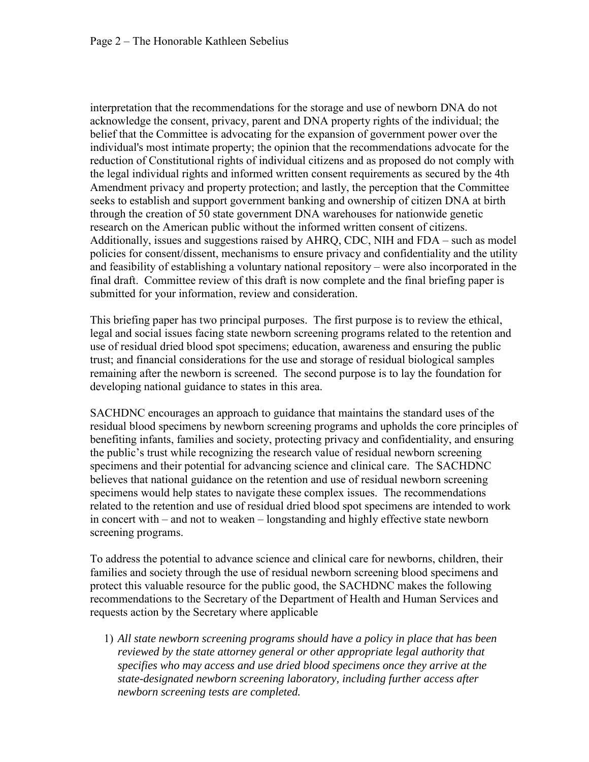interpretation that the recommendations for the storage and use of newborn DNA do not acknowledge the consent, privacy, parent and DNA property rights of the individual; the belief that the Committee is advocating for the expansion of government power over the individual's most intimate property; the opinion that the recommendations advocate for the reduction of Constitutional rights of individual citizens and as proposed do not comply with the legal individual rights and informed written consent requirements as secured by the 4th Amendment privacy and property protection; and lastly, the perception that the Committee seeks to establish and support government banking and ownership of citizen DNA at birth through the creation of 50 state government DNA warehouses for nationwide genetic research on the American public without the informed written consent of citizens. Additionally, issues and suggestions raised by AHRQ, CDC, NIH and FDA – such as model policies for consent/dissent, mechanisms to ensure privacy and confidentiality and the utility and feasibility of establishing a voluntary national repository – were also incorporated in the final draft. Committee review of this draft is now complete and the final briefing paper is submitted for your information, review and consideration.

This briefing paper has two principal purposes. The first purpose is to review the ethical, legal and social issues facing state newborn screening programs related to the retention and use of residual dried blood spot specimens; education, awareness and ensuring the public trust; and financial considerations for the use and storage of residual biological samples remaining after the newborn is screened. The second purpose is to lay the foundation for developing national guidance to states in this area.

SACHDNC encourages an approach to guidance that maintains the standard uses of the residual blood specimens by newborn screening programs and upholds the core principles of benefiting infants, families and society, protecting privacy and confidentiality, and ensuring the public's trust while recognizing the research value of residual newborn screening specimens and their potential for advancing science and clinical care. The SACHDNC believes that national guidance on the retention and use of residual newborn screening specimens would help states to navigate these complex issues. The recommendations related to the retention and use of residual dried blood spot specimens are intended to work in concert with – and not to weaken – longstanding and highly effective state newborn screening programs.

To address the potential to advance science and clinical care for newborns, children, their families and society through the use of residual newborn screening blood specimens and protect this valuable resource for the public good, the SACHDNC makes the following recommendations to the Secretary of the Department of Health and Human Services and requests action by the Secretary where applicable

1) *All state newborn screening programs should have a policy in place that has been reviewed by the state attorney general or other appropriate legal authority that specifies who may access and use dried blood specimens once they arrive at the state-designated newborn screening laboratory, including further access after newborn screening tests are completed.*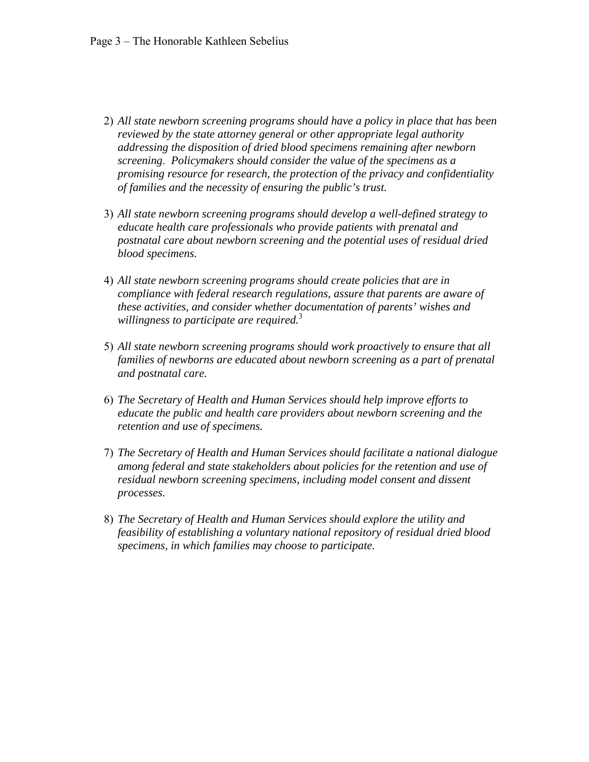- 2) *All state newborn screening programs should have a policy in place that has been reviewed by the state attorney general or other appropriate legal authority addressing the disposition of dried blood specimens remaining after newborn screening*. *Policymakers should consider the value of the specimens as a promising resource for research, the protection of the privacy and confidentiality of families and the necessity of ensuring the public's trust.*
- 3) *All state newborn screening programs should develop a well-defined strategy to educate health care professionals who provide patients with prenatal and postnatal care about newborn screening and the potential uses of residual dried blood specimens.*
- 4) *All state newborn screening programs should create policies that are in compliance with federal research regulations, assure that parents are aware of these activities, and consider whether documentation of parents' wishes and willingness to participate are required.*<sup>3</sup>
- 5) *All state newborn screening programs should work proactively to ensure that all families of newborns are educated about newborn screening as a part of prenatal and postnatal care.*
- 6) *The Secretary of Health and Human Services should help improve efforts to educate the public and health care providers about newborn screening and the retention and use of specimens.*
- 7) *The Secretary of Health and Human Services should facilitate a national dialogue among federal and state stakeholders about policies for the retention and use of residual newborn screening specimens, including model consent and dissent processes.*
- 8) *The Secretary of Health and Human Services should explore the utility and feasibility of establishing a voluntary national repository of residual dried blood specimens, in which families may choose to participate.*